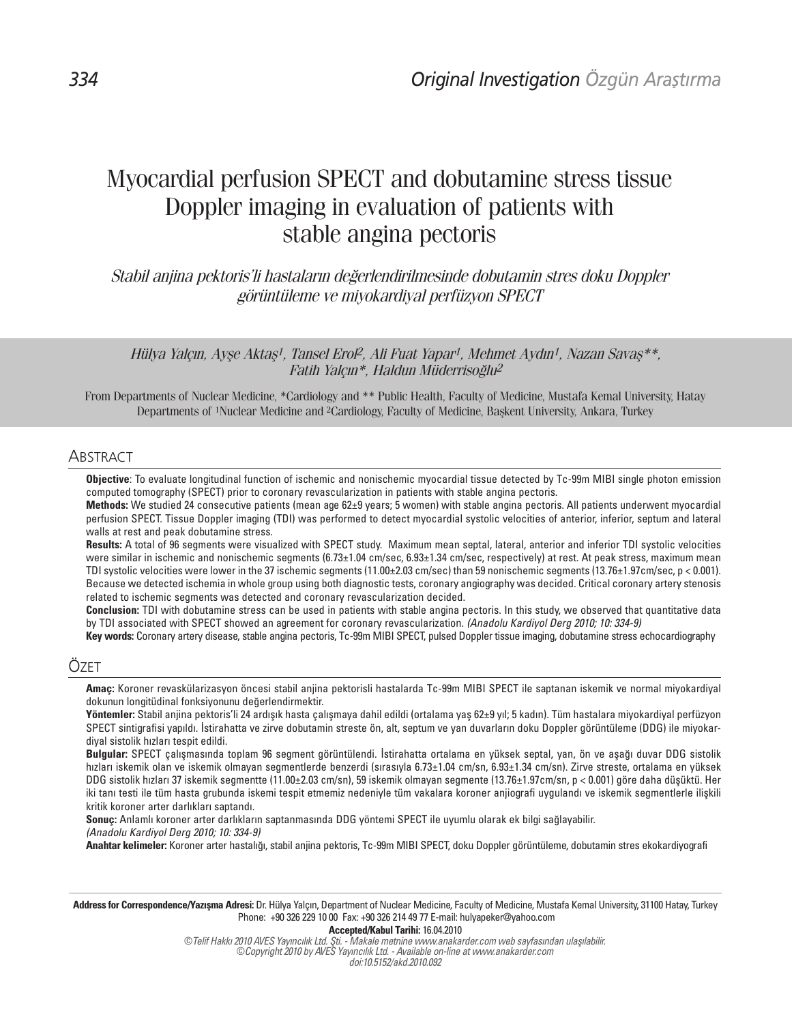# Myocardial perfusion SPECT and dobutamine stress tissue Doppler imaging in evaluation of patients with stable angina pectoris

Stabil anjina pektoris'li hastaların değerlendirilmesinde dobutamin stres doku Doppler görüntüleme ve miyokardiyal perfüzyon SPECT

Hülya Yalçın, Ayşe Aktaş<sup>1</sup>, Tansel Erol<sup>2</sup>, Ali Fuat Yapar<sup>1</sup>, Mehmet Aydın<sup>1</sup>, Nazan Savaş\*\*, Fatih Yalçın\*, Haldun Müderrisoğlu<sup>2</sup>

From Departments of Nuclear Medicine, \*Cardiology and \*\* Public Health, Faculty of Medicine, Mustafa Kemal University, Hatay Departments of 1Nuclear Medicine and 2Cardiology, Faculty of Medicine, Başkent University, Ankara, Turkey

# ABSTRACT

Objective: To evaluate longitudinal function of ischemic and nonischemic myocardial tissue detected by Tc-99m MIBI single photon emission computed tomography (SPECT) prior to coronary revascularization in patients with stable angina pectoris.

Methods: We studied 24 consecutive patients (mean age 62±9 years; 5 women) with stable angina pectoris. All patients underwent myocardial perfusion SPECT. Tissue Doppler imaging (TDI) was performed to detect myocardial systolic velocities of anterior, inferior, septum and lateral walls at rest and peak dobutamine stress.

Results: A total of 96 segments were visualized with SPECT study. Maximum mean septal, lateral, anterior and inferior TDI systolic velocities were similar in ischemic and nonischemic segments (6.73±1.04 cm/sec, 6.93±1.34 cm/sec, respectively) at rest. At peak stress, maximum mean TDI systolic velocities were lower in the 37 ischemic segments (11.00±2.03 cm/sec) than 59 nonischemic segments (13.76±1.97cm/sec, p < 0.001). Because we detected ischemia in whole group using both diagnostic tests, coronary angiography was decided. Critical coronary artery stenosis related to ischemic segments was detected and coronary revascularization decided.

Conclusion: TDI with dobutamine stress can be used in patients with stable angina pectoris. In this study, we observed that quantitative data by TDI associated with SPECT showed an agreement for coronary revascularization. (Anadolu Kardiyol Derg 2010; 10: 334-9)

Key words: Coronary artery disease, stable angina pectoris, Tc-99m MIBI SPECT, pulsed Doppler tissue imaging, dobutamine stress echocardiography

## ÖZET

Amaç: Koroner revaskülarizasyon öncesi stabil anjina pektorisli hastalarda Tc-99m MIBI SPECT ile saptanan iskemik ve normal miyokardiyal dokunun longitüdinal fonksiyonunu değerlendirmektir.

Yöntemler: Stabil anjina pektoris'li 24 ardışık hasta çalışmaya dahil edildi (ortalama yaş 62±9 yıl; 5 kadın). Tüm hastalara miyokardiyal perfüzyon SPECT sintigrafisi yapıldı. İstirahatta ve zirve dobutamin streste ön, alt, septum ve yan duvarların doku Doppler görüntüleme (DDG) ile miyokardiyal sistolik hızları tespit edildi.

Bulgular: SPECT çalışmasında toplam 96 segment görüntülendi. İstirahatta ortalama en yüksek septal, yan, ön ve aşağı duvar DDG sistolik hızları iskemik olan ve iskemik olmayan segmentlerde benzerdi (sırasıyla 6.73±1.04 cm/sn, 6.93±1.34 cm/sn). Zirve streste, ortalama en yüksek DDG sistolik hızları 37 iskemik segmentte (11.00±2.03 cm/sn), 59 iskemik olmayan segmente (13.76±1.97cm/sn, p < 0.001) göre daha düşüktü. Her iki tanı testi ile tüm hasta grubunda iskemi tespit etmemiz nedeniyle tüm vakalara koroner anjiografi uygulandı ve iskemik segmentlerle ilişkili kritik koroner arter darlıkları saptandı.

Sonuç: Anlamlı koroner arter darlıkların saptanmasında DDG yöntemi SPECT ile uyumlu olarak ek bilgi sağlayabilir. (Anadolu Kardiyol Derg 2010; 10: 334-9)

Anahtar kelimeler: Koroner arter hastalığı, stabil anjina pektoris, Tc-99m MIBI SPECT, doku Doppler görüntüleme, dobutamin stres ekokardiyografi

Address for Correspondence/Yazısma Adresi: Dr. Hülya Yalcın, Department of Nuclear Medicine, Faculty of Medicine, Mustafa Kemal University, 31100 Hatay, Turkey Phone: +90 326 229 10 00 Fax: +90 326 214 49 77 E-mail: hulyapeker@yahoo.com

Accepted/Kabul Tarihi: 16.04.2010

©Telif Hakkı 2010 AVES Yayıncılık Ltd. Şti. - Makale metnine www.anakarder.com web sayfasından ulaşılabilir. ©Copyright 2010 by AVES Yayıncılık Ltd. - Available on-line at www.anakarder.com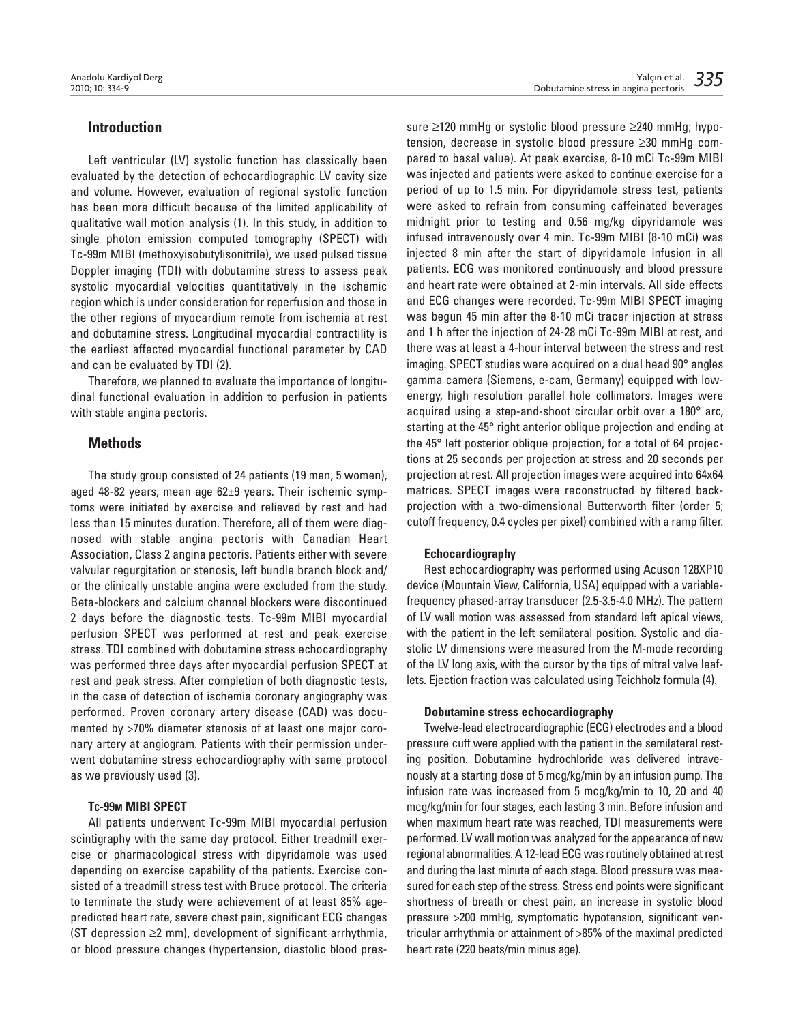## Introduction

Left ventricular (LV) systolic function has classically been evaluated by the detection of echocardiographic LV cavity size and volume. However, evaluation of regional systolic function has been more difficult because of the limited applicability of qualitative wall motion analysis (1). In this study, in addition to single photon emission computed tomography (SPECT) with Tc-99m MIBI (methoxyisobutylisonitrile), we used pulsed tissue Doppler imaging (TDI) with dobutamine stress to assess peak systolic myocardial velocities quantitatively in the ischemic region which is under consideration for reperfusion and those in the other regions of myocardium remote from ischemia at rest and dobutamine stress. Longitudinal myocardial contractility is the earliest affected myocardial functional parameter by CAD and can be evaluated by TDI (2).

Therefore, we planned to evaluate the importance of longitudinal functional evaluation in addition to perfusion in patients with stable angina pectoris.

## **Methods**

The study group consisted of 24 patients (19 men, 5 women), aged 48-82 years, mean age 62±9 years. Their ischemic symptoms were initiated by exercise and relieved by rest and had less than 15 minutes duration. Therefore, all of them were diagnosed with stable angina pectoris with Canadian Heart Association, Class 2 angina pectoris. Patients either with severe valvular regurgitation or stenosis, left bundle branch block and/ or the clinically unstable angina were excluded from the study. Beta-blockers and calcium channel blockers were discontinued 2 days before the diagnostic tests. Tc-99m MIBI myocardial perfusion SPECT was performed at rest and peak exercise stress. TDI combined with dobutamine stress echocardiography was performed three days after myocardial perfusion SPECT at rest and peak stress. After completion of both diagnostic tests, in the case of detection of ischemia coronary angiography was performed. Proven coronary artery disease (CAD) was documented by >70% diameter stenosis of at least one major coronary artery at angiogram. Patients with their permission underwent dobutamine stress echocardiography with same protocol as we previously used (3).

#### TC-99M MIBI SPECT

All patients underwent Tc-99m MIBI myocardial perfusion scintigraphy with the same day protocol. Either treadmill exercise or pharmacological stress with dipyridamole was used depending on exercise capability of the patients. Exercise consisted of a treadmill stress test with Bruce protocol. The criteria to terminate the study were achievement of at least 85% agepredicted heart rate, severe chest pain, significant ECG changes (ST depression ≥2 mm), development of significant arrhythmia, or blood pressure changes (hypertension, diastolic blood pressure ≥120 mmHg or systolic blood pressure ≥240 mmHg; hypotension, decrease in systolic blood pressure ≥30 mmHg compared to basal value). At peak exercise, 8-10 mCi Tc-99m MIBI was injected and patients were asked to continue exercise for a period of up to 1.5 min. For dipyridamole stress test, patients were asked to refrain from consuming caffeinated beverages midnight prior to testing and 0.56 mg/kg dipyridamole was infused intravenously over 4 min. Tc-99m MIBI (8-10 mCi) was injected 8 min after the start of dipyridamole infusion in all patients. ECG was monitored continuously and blood pressure and heart rate were obtained at 2-min intervals. All side effects and ECG changes were recorded. Tc-99m MIBI SPECT imaging was begun 45 min after the 8-10 mCi tracer injection at stress and 1 h after the injection of 24-28 mCi Tc-99m MIBI at rest, and there was at least a 4-hour interval between the stress and rest imaging. SPECT studies were acquired on a dual head 90° angles gamma camera (Siemens, e-cam, Germany) equipped with lowenergy, high resolution parallel hole collimators. Images were acquired using a step-and-shoot circular orbit over a 180° arc, starting at the 45° right anterior oblique projection and ending at the 45° left posterior oblique projection, for a total of 64 projections at 25 seconds per projection at stress and 20 seconds per projection at rest. All projection images were acquired into 64x64 matrices. SPECT images were reconstructed by filtered backprojection with a two-dimensional Butterworth filter (order 5; cutoff frequency, 0.4 cycles per pixel) combined with a ramp filter.

#### Echocardiography

Rest echocardiography was performed using Acuson 128XP10 device (Mountain View, California, USA) equipped with a variablefrequency phased-array transducer (2.5-3.5-4.0 MHz). The pattern of LV wall motion was assessed from standard left apical views, with the patient in the left semilateral position. Systolic and diastolic LV dimensions were measured from the M-mode recording of the LV long axis, with the cursor by the tips of mitral valve leaflets. Ejection fraction was calculated using Teichholz formula (4).

#### Dobutamine stress echocardiography

Twelve-lead electrocardiographic (ECG) electrodes and a blood pressure cuff were applied with the patient in the semilateral resting position. Dobutamine hydrochloride was delivered intravenously at a starting dose of 5 mcg/kg/min by an infusion pump. The infusion rate was increased from 5 mcg/kg/min to 10, 20 and 40 mcg/kg/min for four stages, each lasting 3 min. Before infusion and when maximum heart rate was reached, TDI measurements were performed. LV wall motion was analyzed for the appearance of new regional abnormalities. A 12-lead ECG was routinely obtained at rest and during the last minute of each stage. Blood pressure was measured for each step of the stress. Stress end points were significant shortness of breath or chest pain, an increase in systolic blood pressure >200 mmHg, symptomatic hypotension, significant ventricular arrhythmia or attainment of >85% of the maximal predicted heart rate (220 beats/min minus age).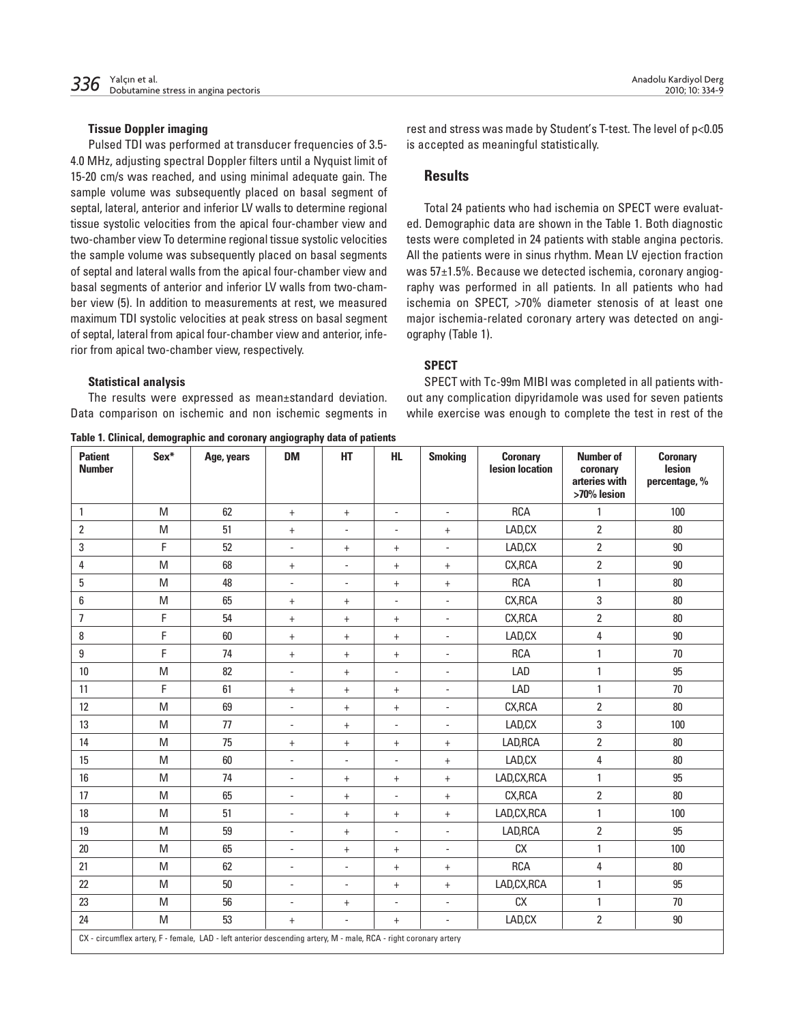Pulsed TDI was performed at transducer frequencies of 3.5- 4.0 MHz, adjusting spectral Doppler filters until a Nyquist limit of 15-20 cm/s was reached, and using minimal adequate gain. The sample volume was subsequently placed on basal segment of septal, lateral, anterior and inferior LV walls to determine regional tissue systolic velocities from the apical four-chamber view and two-chamber view To determine regional tissue systolic velocities the sample volume was subsequently placed on basal segments of septal and lateral walls from the apical four-chamber view and basal segments of anterior and inferior LV walls from two-chamber view (5). In addition to measurements at rest, we measured maximum TDI systolic velocities at peak stress on basal segment of septal, lateral from apical four-chamber view and anterior, inferior from apical two-chamber view, respectively.

#### Statistical analysis

The results were expressed as mean±standard deviation. Data comparison on ischemic and non ischemic segments in

Table 1. Clinical, demographic and coronary angiography data of patients

rest and stress was made by Student's T-test. The level of p<0.05 is accepted as meaningful statistically.

# **Results**

Total 24 patients who had ischemia on SPECT were evaluated. Demographic data are shown in the Table 1. Both diagnostic tests were completed in 24 patients with stable angina pectoris. All the patients were in sinus rhythm. Mean LV ejection fraction was 57±1.5%. Because we detected ischemia, coronary angiography was performed in all patients. In all patients who had ischemia on SPECT, >70% diameter stenosis of at least one major ischemia-related coronary artery was detected on angiography (Table 1).

## SPECT

SPECT with Tc-99m MIBI was completed in all patients without any complication dipyridamole was used for seven patients while exercise was enough to complete the test in rest of the

| <b>Patient</b><br><b>Number</b>                                                                                  | Sex*                                                                                  | Age, years | <b>DM</b>                | HT                       | <b>HL</b>                        | <b>Smoking</b>           | <b>Coronary</b><br>lesion location | <b>Number of</b><br>coronary<br>arteries with<br>>70% lesion | <b>Coronary</b><br>lesion<br>percentage, % |
|------------------------------------------------------------------------------------------------------------------|---------------------------------------------------------------------------------------|------------|--------------------------|--------------------------|----------------------------------|--------------------------|------------------------------------|--------------------------------------------------------------|--------------------------------------------|
| $\mathbf{1}$                                                                                                     | M                                                                                     | 62         | $+$                      | $+$                      | $\overline{a}$                   | $\overline{\phantom{a}}$ | <b>RCA</b>                         | $\mathbf{1}$                                                 | 100                                        |
| $\overline{2}$                                                                                                   | M                                                                                     | 51         | $+$                      | ÷,                       | $\overline{\phantom{a}}$         | $\ddot{}$                | LAD, CX                            | $\overline{2}$                                               | 80                                         |
| 3                                                                                                                | F                                                                                     | 52         | $\blacksquare$           | $\ddot{}$                | $+$                              | $\overline{\phantom{a}}$ | LAD, CX                            | $\overline{2}$                                               | 90                                         |
| 4                                                                                                                | M                                                                                     | 68         | $^{+}$                   | $\overline{\phantom{a}}$ | $\ddot{}$                        | $\ddot{}$                | CX, RCA                            | $\overline{2}$                                               | 90                                         |
| 5                                                                                                                | M                                                                                     | 48         | $\overline{\phantom{a}}$ | $\blacksquare$           | $\begin{array}{c} + \end{array}$ | $^{+}$                   | <b>RCA</b>                         | $\mathbf{1}$                                                 | 80                                         |
| 6                                                                                                                | M                                                                                     | 65         | $^{+}$                   | $\ddot{}$                | $\overline{\phantom{a}}$         | $\overline{\phantom{a}}$ | CX, RCA                            | 3                                                            | $80\,$                                     |
| $\overline{7}$                                                                                                   | F                                                                                     | 54         | $^{+}$                   | $\ddot{}$                | $+$                              | $\blacksquare$           | CX, RCA                            | $\overline{2}$                                               | 80                                         |
| 8                                                                                                                | F                                                                                     | 60         | $^{+}$                   | $+$                      | $+$                              | $\blacksquare$           | LAD, CX                            | 4                                                            | $90\,$                                     |
| 9                                                                                                                | F                                                                                     | 74         | $+$                      | $+$                      | $\begin{array}{c} + \end{array}$ | $\overline{\phantom{a}}$ | <b>RCA</b>                         | $\mathbf{1}$                                                 | 70                                         |
| 10                                                                                                               | M                                                                                     | 82         | $\overline{\phantom{a}}$ | $^{+}$                   | $\overline{\phantom{a}}$         | $\overline{\phantom{a}}$ | LAD                                | $\mathbf{1}$                                                 | 95                                         |
| 11                                                                                                               | F                                                                                     | 61         | $^{+}$                   | $+$                      | $+$                              | $\centerdot$             | LAD                                | $\mathbf{1}$                                                 | 70                                         |
| 12                                                                                                               | ${\sf M}$                                                                             | 69         | $\blacksquare$           | $\ddot{}$                | $\boldsymbol{+}$                 | $\blacksquare$           | CX, RCA                            | $\overline{2}$                                               | $80\,$                                     |
| 13                                                                                                               | M                                                                                     | 77         | $\overline{\phantom{a}}$ | $\ddot{}$                | $\overline{a}$                   | $\blacksquare$           | LAD, CX                            | 3                                                            | 100                                        |
| 14                                                                                                               | M                                                                                     | 75         | $^{+}$                   | $^{+}$                   | $\begin{array}{c} + \end{array}$ | $^{+}$                   | LAD, RCA                           | $\overline{2}$                                               | 80                                         |
| 15                                                                                                               | M                                                                                     | 60         | $\overline{\phantom{a}}$ | $\overline{\phantom{a}}$ | $\overline{a}$                   | $\ddot{}$                | LAD, CX                            | $\pmb{4}$                                                    | 80                                         |
| 16                                                                                                               | M                                                                                     | 74         | $\overline{\phantom{a}}$ | $^{+}$                   | $\begin{array}{c} + \end{array}$ | $\ddot{}$                | LAD, CX, RCA                       | $\mathbf{1}$                                                 | 95                                         |
| 17                                                                                                               | M                                                                                     | 65         | $\overline{\phantom{a}}$ | $\ddot{}$                | $\frac{1}{2}$                    | $\ddot{}$                | CX, RCA                            | $\overline{2}$                                               | 80                                         |
| 18                                                                                                               | M                                                                                     | 51         | $\overline{\phantom{a}}$ | $+$                      | $+$                              | $+$                      | LAD, CX, RCA                       | $\mathbf{1}$                                                 | 100                                        |
| 19                                                                                                               | M                                                                                     | 59         | $\overline{\phantom{a}}$ | $^{+}$                   | $\overline{a}$                   | $\overline{\phantom{a}}$ | LAD, RCA                           | $\overline{2}$                                               | 95                                         |
| 20                                                                                                               | M                                                                                     | 65         | $\overline{\phantom{a}}$ | $\ddot{}$                | $\ddot{}$                        | $\blacksquare$           | CX                                 | $\mathbf{1}$                                                 | 100                                        |
| 21                                                                                                               | M                                                                                     | 62         | $\overline{\phantom{a}}$ | ÷,                       | $\boldsymbol{+}$                 | $\ddot{}$                | <b>RCA</b>                         | 4                                                            | $80\,$                                     |
| 22                                                                                                               | $\mathsf{M}% _{T}=\mathsf{M}_{T}\!\left( a,b\right) ,\ \mathsf{M}_{T}=\mathsf{M}_{T}$ | $50\,$     | $\overline{\phantom{a}}$ | $\overline{\phantom{a}}$ | $\begin{array}{c} + \end{array}$ | $\ddot{}$                | LAD, CX, RCA                       | $\mathbf{1}$                                                 | 95                                         |
| 23                                                                                                               | M                                                                                     | 56         | $\overline{\phantom{a}}$ | $^{+}$                   | $\overline{a}$                   | $\blacksquare$           | CX                                 | $\mathbf{1}$                                                 | 70                                         |
| 24                                                                                                               | M                                                                                     | 53         | $^{+}$                   | $\overline{\phantom{a}}$ | $\ddot{}$                        | $\overline{\phantom{a}}$ | LAD, CX                            | $\overline{2}$                                               | $90\,$                                     |
| CX - circumflex artery, F - female, LAD - left anterior descending artery, M - male, RCA - right coronary artery |                                                                                       |            |                          |                          |                                  |                          |                                    |                                                              |                                            |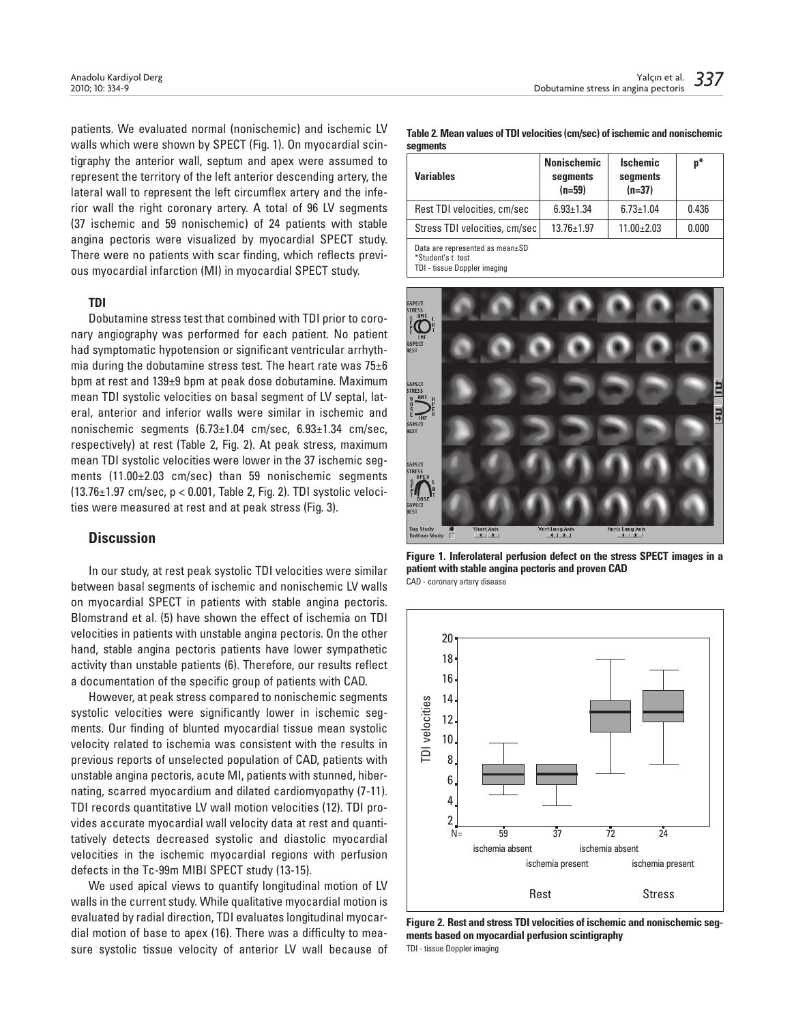patients. We evaluated normal (nonischemic) and ischemic LV walls which were shown by SPECT (Fig. 1). On myocardial scintigraphy the anterior wall, septum and apex were assumed to represent the territory of the left anterior descending artery, the lateral wall to represent the left circumflex artery and the inferior wall the right coronary artery. A total of 96 LV segments (37 ischemic and 59 nonischemic) of 24 patients with stable angina pectoris were visualized by myocardial SPECT study. There were no patients with scar finding, which reflects previous myocardial infarction (MI) in myocardial SPECT study.

#### TDI

Dobutamine stress test that combined with TDI prior to coronary angiography was performed for each patient. No patient had symptomatic hypotension or significant ventricular arrhythmia during the dobutamine stress test. The heart rate was 75±6 bpm at rest and 139±9 bpm at peak dose dobutamine. Maximum mean TDI systolic velocities on basal segment of LV septal, lateral, anterior and inferior walls were similar in ischemic and nonischemic segments (6.73±1.04 cm/sec, 6.93±1.34 cm/sec, respectively) at rest (Table 2, Fig. 2). At peak stress, maximum mean TDI systolic velocities were lower in the 37 ischemic segments (11.00±2.03 cm/sec) than 59 nonischemic segments (13.76±1.97 cm/sec, p < 0.001, Table 2, Fig. 2). TDI systolic velocities were measured at rest and at peak stress (Fig. 3).

#### **Discussion**

In our study, at rest peak systolic TDI velocities were similar between basal segments of ischemic and nonischemic LV walls on myocardial SPECT in patients with stable angina pectoris. Blomstrand et al. (5) have shown the effect of ischemia on TDI velocities in patients with unstable angina pectoris. On the other hand, stable angina pectoris patients have lower sympathetic activity than unstable patients (6). Therefore, our results reflect a documentation of the specific group of patients with CAD.

However, at peak stress compared to nonischemic segments systolic velocities were significantly lower in ischemic segments. Our finding of blunted myocardial tissue mean systolic velocity related to ischemia was consistent with the results in previous reports of unselected population of CAD, patients with unstable angina pectoris, acute MI, patients with stunned, hibernating, scarred myocardium and dilated cardiomyopathy (7-11). TDI records quantitative LV wall motion velocities (12). TDI provides accurate myocardial wall velocity data at rest and quantitatively detects decreased systolic and diastolic myocardial velocities in the ischemic myocardial regions with perfusion defects in the Tc-99m MIBI SPECT study (13-15).

We used apical views to quantify longitudinal motion of LV walls in the current study. While qualitative myocardial motion is evaluated by radial direction, TDI evaluates longitudinal myocardial motion of base to apex (16). There was a difficulty to measure systolic tissue velocity of anterior LV wall because of

Table 2. Mean values of TDI velocities (cm/sec) of ischemic and nonischemic segments

| <b>Variables</b>                | <b>Nonischemic</b><br>segments<br>$(n=59)$ | <b>Ischemic</b><br>segments<br>$(n=37)$ | $p*$  |
|---------------------------------|--------------------------------------------|-----------------------------------------|-------|
| Rest TDI velocities, cm/sec     | $6.93 \pm 1.34$                            | $6.73 \pm 1.04$                         | 0.436 |
| Stress TDI velocities, cm/sec   | $13.76 \pm 1.97$                           | $11.00 \pm 2.03$                        | 0.000 |
| Data are represented as mean±SD |                                            |                                         |       |

\*Student's t test

TDI - tissue Doppler imaging



Figure 1. Inferolateral perfusion defect on the stress SPECT images in a patient with stable angina pectoris and proven CAD CAD - coronary artery disease



Figure 2. Rest and stress TDI velocities of ischemic and nonischemic segments based on myocardial perfusion scintigraphy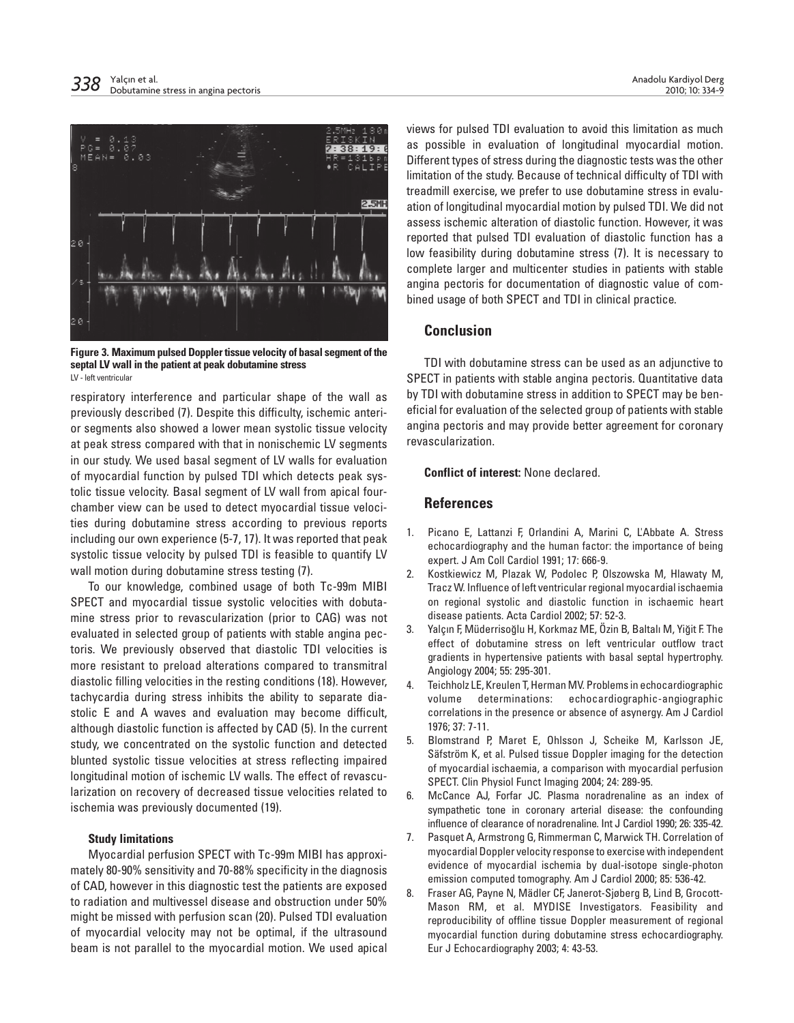

Figure 3. Maximum pulsed Doppler tissue velocity of basal segment of the septal LV wall in the patient at peak dobutamine stress LV - left ventricular

respiratory interference and particular shape of the wall as previously described (7). Despite this difficulty, ischemic anterior segments also showed a lower mean systolic tissue velocity at peak stress compared with that in nonischemic LV segments in our study. We used basal segment of LV walls for evaluation of myocardial function by pulsed TDI which detects peak systolic tissue velocity. Basal segment of LV wall from apical fourchamber view can be used to detect myocardial tissue velocities during dobutamine stress according to previous reports including our own experience (5-7, 17). It was reported that peak systolic tissue velocity by pulsed TDI is feasible to quantify LV wall motion during dobutamine stress testing (7).

To our knowledge, combined usage of both Tc-99m MIBI SPECT and myocardial tissue systolic velocities with dobutamine stress prior to revascularization (prior to CAG) was not evaluated in selected group of patients with stable angina pectoris. We previously observed that diastolic TDI velocities is more resistant to preload alterations compared to transmitral diastolic filling velocities in the resting conditions (18). However, tachycardia during stress inhibits the ability to separate diastolic E and A waves and evaluation may become difficult, although diastolic function is affected by CAD (5). In the current study, we concentrated on the systolic function and detected blunted systolic tissue velocities at stress reflecting impaired longitudinal motion of ischemic LV walls. The effect of revascularization on recovery of decreased tissue velocities related to ischemia was previously documented (19).

#### Study limitations

Myocardial perfusion SPECT with Tc-99m MIBI has approximately 80-90% sensitivity and 70-88% specificity in the diagnosis of CAD, however in this diagnostic test the patients are exposed to radiation and multivessel disease and obstruction under 50% might be missed with perfusion scan (20). Pulsed TDI evaluation of myocardial velocity may not be optimal, if the ultrasound beam is not parallel to the myocardial motion. We used apical views for pulsed TDI evaluation to avoid this limitation as much as possible in evaluation of longitudinal myocardial motion. Different types of stress during the diagnostic tests was the other limitation of the study. Because of technical difficulty of TDI with treadmill exercise, we prefer to use dobutamine stress in evaluation of longitudinal myocardial motion by pulsed TDI. We did not assess ischemic alteration of diastolic function. However, it was reported that pulsed TDI evaluation of diastolic function has a low feasibility during dobutamine stress (7). It is necessary to complete larger and multicenter studies in patients with stable angina pectoris for documentation of diagnostic value of combined usage of both SPECT and TDI in clinical practice.

# Conclusion

TDI with dobutamine stress can be used as an adjunctive to SPECT in patients with stable angina pectoris. Quantitative data by TDI with dobutamine stress in addition to SPECT may be beneficial for evaluation of the selected group of patients with stable angina pectoris and may provide better agreement for coronary revascularization.

## Conflict of interest: None declared.

## **References**

- 1. Picano E, Lattanzi F, Orlandini A, Marini C, L'Abbate A. Stress echocardiography and the human factor: the importance of being expert. J Am Coll Cardiol 1991; 17: 666-9.
- 2. Kostkiewicz M, Plazak W, Podolec P, Olszowska M, Hlawaty M, Tracz W. Influence of left ventricular regional myocardial ischaemia on regional systolic and diastolic function in ischaemic heart disease patients. Acta Cardiol 2002; 57: 52-3.
- 3. Yalçın F, Müderrisoğlu H, Korkmaz ME, Özin B, Baltalı M, Yiğit F. The effect of dobutamine stress on left ventricular outflow tract gradients in hypertensive patients with basal septal hypertrophy. Angiology 2004; 55: 295-301.
- 4. Teichholz LE, Kreulen T, Herman MV. Problems in echocardiographic volume determinations: echocardiographic-angiographic correlations in the presence or absence of asynergy. Am J Cardiol 1976; 37: 7-11.
- 5. Blomstrand P, Maret E, Ohlsson J, Scheike M, Karlsson JE, Säfström K, et al. Pulsed tissue Doppler imaging for the detection of myocardial ischaemia, a comparison with myocardial perfusion SPECT. Clin Physiol Funct Imaging 2004; 24: 289-95.
- 6. McCance AJ, Forfar JC. Plasma noradrenaline as an index of sympathetic tone in coronary arterial disease: the confounding influence of clearance of noradrenaline. Int J Cardiol 1990; 26: 335-42.
- 7. Pasquet A, Armstrong G, Rimmerman C, Marwick TH. Correlation of myocardial Doppler velocity response to exercise with independent evidence of myocardial ischemia by dual-isotope single-photon emission computed tomography. Am J Cardiol 2000; 85: 536-42.
- 8. Fraser AG, Payne N, Mädler CF, Janerot-Sjøberg B, Lind B, Grocott-Mason RM, et al. MYDISE Investigators. Feasibility and reproducibility of offline tissue Doppler measurement of regional myocardial function during dobutamine stress echocardiography. Eur J Echocardiography 2003; 4: 43-53.